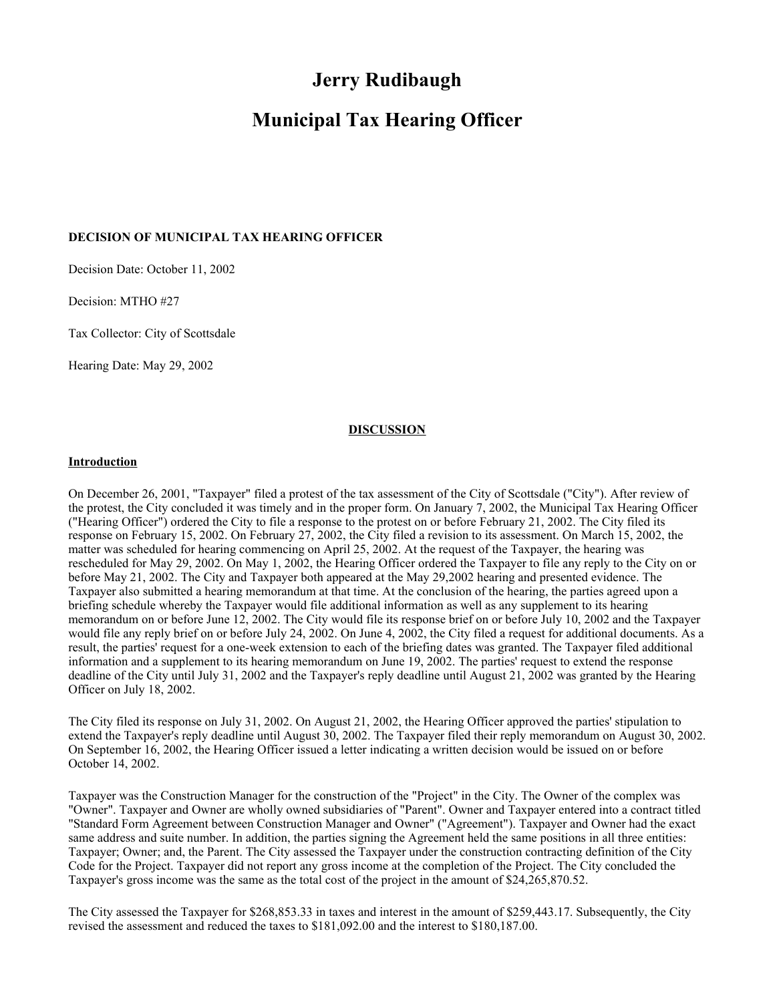# **Jerry Rudibaugh**

# **Municipal Tax Hearing Officer**

## **DECISION OF MUNICIPAL TAX HEARING OFFICER**

Decision Date: October 11, 2002

Decision: MTHO #27

Tax Collector: City of Scottsdale

Hearing Date: May 29, 2002

#### **DISCUSSION**

#### **Introduction**

On December 26, 2001, "Taxpayer" filed a protest of the tax assessment of the City of Scottsdale ("City"). After review of the protest, the City concluded it was timely and in the proper form. On January 7, 2002, the Municipal Tax Hearing Officer ("Hearing Officer") ordered the City to file a response to the protest on or before February 21, 2002. The City filed its response on February 15, 2002. On February 27, 2002, the City filed a revision to its assessment. On March 15, 2002, the matter was scheduled for hearing commencing on April 25, 2002. At the request of the Taxpayer, the hearing was rescheduled for May 29, 2002. On May 1, 2002, the Hearing Officer ordered the Taxpayer to file any reply to the City on or before May 21, 2002. The City and Taxpayer both appeared at the May 29,2002 hearing and presented evidence. The Taxpayer also submitted a hearing memorandum at that time. At the conclusion of the hearing, the parties agreed upon a briefing schedule whereby the Taxpayer would file additional information as well as any supplement to its hearing memorandum on or before June 12, 2002. The City would file its response brief on or before July 10, 2002 and the Taxpayer would file any reply brief on or before July 24, 2002. On June 4, 2002, the City filed a request for additional documents. As a result, the parties' request for a one-week extension to each of the briefing dates was granted. The Taxpayer filed additional information and a supplement to its hearing memorandum on June 19, 2002. The parties' request to extend the response deadline of the City until July 31, 2002 and the Taxpayer's reply deadline until August 21, 2002 was granted by the Hearing Officer on July 18, 2002.

The City filed its response on July 31, 2002. On August 21, 2002, the Hearing Officer approved the parties' stipulation to extend the Taxpayer's reply deadline until August 30, 2002. The Taxpayer filed their reply memorandum on August 30, 2002. On September 16, 2002, the Hearing Officer issued a letter indicating a written decision would be issued on or before October 14, 2002.

Taxpayer was the Construction Manager for the construction of the "Project" in the City. The Owner of the complex was "Owner". Taxpayer and Owner are wholly owned subsidiaries of "Parent". Owner and Taxpayer entered into a contract titled "Standard Form Agreement between Construction Manager and Owner" ("Agreement"). Taxpayer and Owner had the exact same address and suite number. In addition, the parties signing the Agreement held the same positions in all three entities: Taxpayer; Owner; and, the Parent. The City assessed the Taxpayer under the construction contracting definition of the City Code for the Project. Taxpayer did not report any gross income at the completion of the Project. The City concluded the Taxpayer's gross income was the same as the total cost of the project in the amount of \$24,265,870.52.

The City assessed the Taxpayer for \$268,853.33 in taxes and interest in the amount of \$259,443.17. Subsequently, the City revised the assessment and reduced the taxes to \$181,092.00 and the interest to \$180,187.00.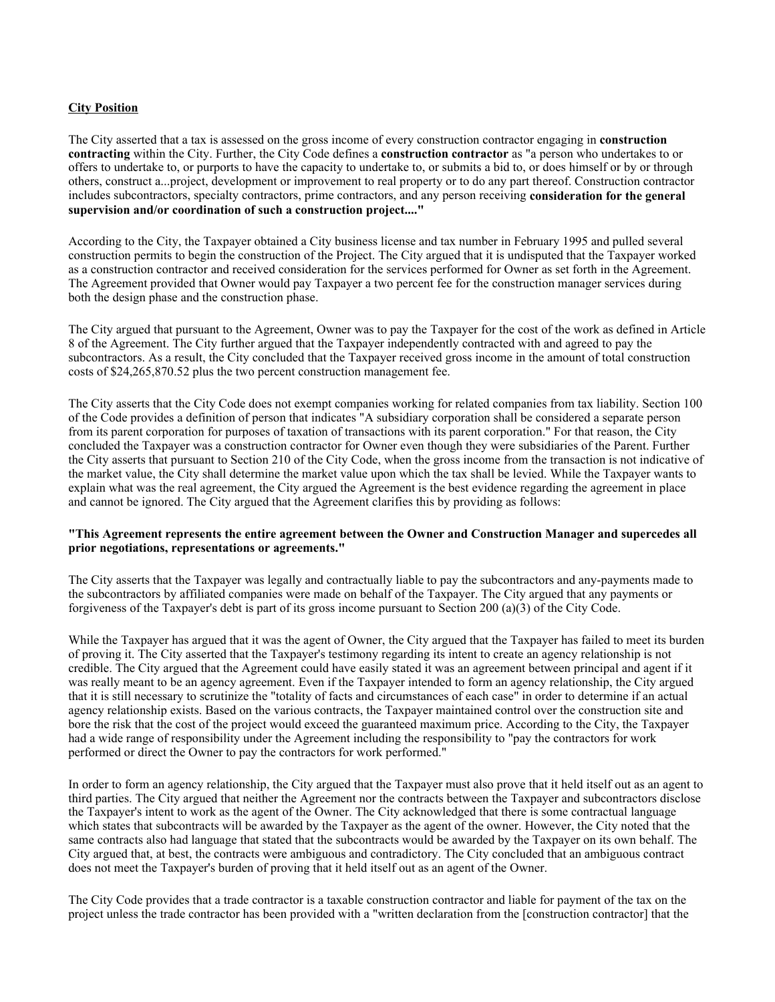# **City Position**

The City asserted that a tax is assessed on the gross income of every construction contractor engaging in **construction contracting** within the City. Further, the City Code defines a **construction contractor** as "a person who undertakes to or offers to undertake to, or purports to have the capacity to undertake to, or submits a bid to, or does himself or by or through others, construct a...project, development or improvement to real property or to do any part thereof. Construction contractor includes subcontractors, specialty contractors, prime contractors, and any person receiving **consideration for the general supervision and/or coordination of such a construction project...."**

According to the City, the Taxpayer obtained a City business license and tax number in February 1995 and pulled several construction permits to begin the construction of the Project. The City argued that it is undisputed that the Taxpayer worked as a construction contractor and received consideration for the services performed for Owner as set forth in the Agreement. The Agreement provided that Owner would pay Taxpayer a two percent fee for the construction manager services during both the design phase and the construction phase.

The City argued that pursuant to the Agreement, Owner was to pay the Taxpayer for the cost of the work as defined in Article 8 of the Agreement. The City further argued that the Taxpayer independently contracted with and agreed to pay the subcontractors. As a result, the City concluded that the Taxpayer received gross income in the amount of total construction costs of \$24,265,870.52 plus the two percent construction management fee.

The City asserts that the City Code does not exempt companies working for related companies from tax liability. Section 100 of the Code provides a definition of person that indicates "A subsidiary corporation shall be considered a separate person from its parent corporation for purposes of taxation of transactions with its parent corporation." For that reason, the City concluded the Taxpayer was a construction contractor for Owner even though they were subsidiaries of the Parent. Further the City asserts that pursuant to Section 210 of the City Code, when the gross income from the transaction is not indicative of the market value, the City shall determine the market value upon which the tax shall be levied. While the Taxpayer wants to explain what was the real agreement, the City argued the Agreement is the best evidence regarding the agreement in place and cannot be ignored. The City argued that the Agreement clarifies this by providing as follows:

#### **"This Agreement represents the entire agreement between the Owner and Construction Manager and supercedes all prior negotiations, representations or agreements."**

The City asserts that the Taxpayer was legally and contractually liable to pay the subcontractors and any-payments made to the subcontractors by affiliated companies were made on behalf of the Taxpayer. The City argued that any payments or forgiveness of the Taxpayer's debt is part of its gross income pursuant to Section 200 (a)(3) of the City Code.

While the Taxpayer has argued that it was the agent of Owner, the City argued that the Taxpayer has failed to meet its burden of proving it. The City asserted that the Taxpayer's testimony regarding its intent to create an agency relationship is not credible. The City argued that the Agreement could have easily stated it was an agreement between principal and agent if it was really meant to be an agency agreement. Even if the Taxpayer intended to form an agency relationship, the City argued that it is still necessary to scrutinize the "totality of facts and circumstances of each case" in order to determine if an actual agency relationship exists. Based on the various contracts, the Taxpayer maintained control over the construction site and bore the risk that the cost of the project would exceed the guaranteed maximum price. According to the City, the Taxpayer had a wide range of responsibility under the Agreement including the responsibility to "pay the contractors for work performed or direct the Owner to pay the contractors for work performed."

In order to form an agency relationship, the City argued that the Taxpayer must also prove that it held itself out as an agent to third parties. The City argued that neither the Agreement nor the contracts between the Taxpayer and subcontractors disclose the Taxpayer's intent to work as the agent of the Owner. The City acknowledged that there is some contractual language which states that subcontracts will be awarded by the Taxpayer as the agent of the owner. However, the City noted that the same contracts also had language that stated that the subcontracts would be awarded by the Taxpayer on its own behalf. The City argued that, at best, the contracts were ambiguous and contradictory. The City concluded that an ambiguous contract does not meet the Taxpayer's burden of proving that it held itself out as an agent of the Owner.

The City Code provides that a trade contractor is a taxable construction contractor and liable for payment of the tax on the project unless the trade contractor has been provided with a "written declaration from the [construction contractor] that the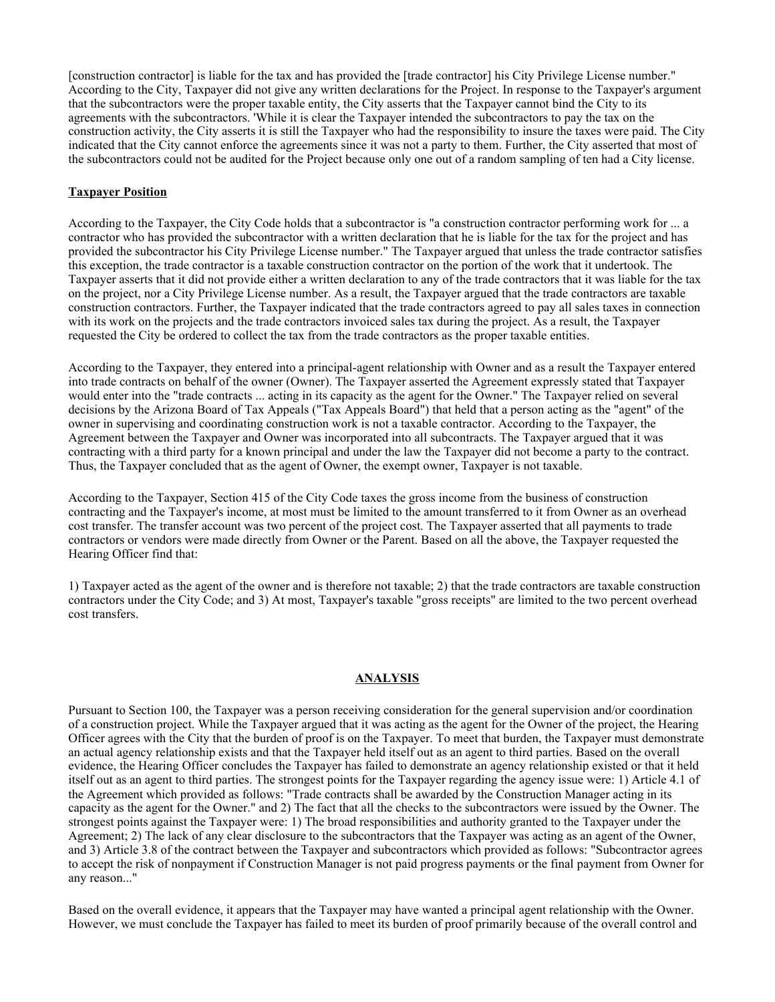[construction contractor] is liable for the tax and has provided the [trade contractor] his City Privilege License number." According to the City, Taxpayer did not give any written declarations for the Project. In response to the Taxpayer's argument that the subcontractors were the proper taxable entity, the City asserts that the Taxpayer cannot bind the City to its agreements with the subcontractors. 'While it is clear the Taxpayer intended the subcontractors to pay the tax on the construction activity, the City asserts it is still the Taxpayer who had the responsibility to insure the taxes were paid. The City indicated that the City cannot enforce the agreements since it was not a party to them. Further, the City asserted that most of the subcontractors could not be audited for the Project because only one out of a random sampling of ten had a City license.

# **Taxpayer Position**

According to the Taxpayer, the City Code holds that a subcontractor is "a construction contractor performing work for ... a contractor who has provided the subcontractor with a written declaration that he is liable for the tax for the project and has provided the subcontractor his City Privilege License number." The Taxpayer argued that unless the trade contractor satisfies this exception, the trade contractor is a taxable construction contractor on the portion of the work that it undertook. The Taxpayer asserts that it did not provide either a written declaration to any of the trade contractors that it was liable for the tax on the project, nor a City Privilege License number. As a result, the Taxpayer argued that the trade contractors are taxable construction contractors. Further, the Taxpayer indicated that the trade contractors agreed to pay all sales taxes in connection with its work on the projects and the trade contractors invoiced sales tax during the project. As a result, the Taxpayer requested the City be ordered to collect the tax from the trade contractors as the proper taxable entities.

According to the Taxpayer, they entered into a principal-agent relationship with Owner and as a result the Taxpayer entered into trade contracts on behalf of the owner (Owner). The Taxpayer asserted the Agreement expressly stated that Taxpayer would enter into the "trade contracts ... acting in its capacity as the agent for the Owner." The Taxpayer relied on several decisions by the Arizona Board of Tax Appeals ("Tax Appeals Board") that held that a person acting as the "agent" of the owner in supervising and coordinating construction work is not a taxable contractor. According to the Taxpayer, the Agreement between the Taxpayer and Owner was incorporated into all subcontracts. The Taxpayer argued that it was contracting with a third party for a known principal and under the law the Taxpayer did not become a party to the contract. Thus, the Taxpayer concluded that as the agent of Owner, the exempt owner, Taxpayer is not taxable.

According to the Taxpayer, Section 415 of the City Code taxes the gross income from the business of construction contracting and the Taxpayer's income, at most must be limited to the amount transferred to it from Owner as an overhead cost transfer. The transfer account was two percent of the project cost. The Taxpayer asserted that all payments to trade contractors or vendors were made directly from Owner or the Parent. Based on all the above, the Taxpayer requested the Hearing Officer find that:

1) Taxpayer acted as the agent of the owner and is therefore not taxable; 2) that the trade contractors are taxable construction contractors under the City Code; and 3) At most, Taxpayer's taxable "gross receipts" are limited to the two percent overhead cost transfers.

# **ANALYSIS**

Pursuant to Section 100, the Taxpayer was a person receiving consideration for the general supervision and/or coordination of a construction project. While the Taxpayer argued that it was acting as the agent for the Owner of the project, the Hearing Officer agrees with the City that the burden of proof is on the Taxpayer. To meet that burden, the Taxpayer must demonstrate an actual agency relationship exists and that the Taxpayer held itself out as an agent to third parties. Based on the overall evidence, the Hearing Officer concludes the Taxpayer has failed to demonstrate an agency relationship existed or that it held itself out as an agent to third parties. The strongest points for the Taxpayer regarding the agency issue were: 1) Article 4.1 of the Agreement which provided as follows: "Trade contracts shall be awarded by the Construction Manager acting in its capacity as the agent for the Owner." and 2) The fact that all the checks to the subcontractors were issued by the Owner. The strongest points against the Taxpayer were: 1) The broad responsibilities and authority granted to the Taxpayer under the Agreement; 2) The lack of any clear disclosure to the subcontractors that the Taxpayer was acting as an agent of the Owner, and 3) Article 3.8 of the contract between the Taxpayer and subcontractors which provided as follows: "Subcontractor agrees to accept the risk of nonpayment if Construction Manager is not paid progress payments or the final payment from Owner for any reason..."

Based on the overall evidence, it appears that the Taxpayer may have wanted a principal agent relationship with the Owner. However, we must conclude the Taxpayer has failed to meet its burden of proof primarily because of the overall control and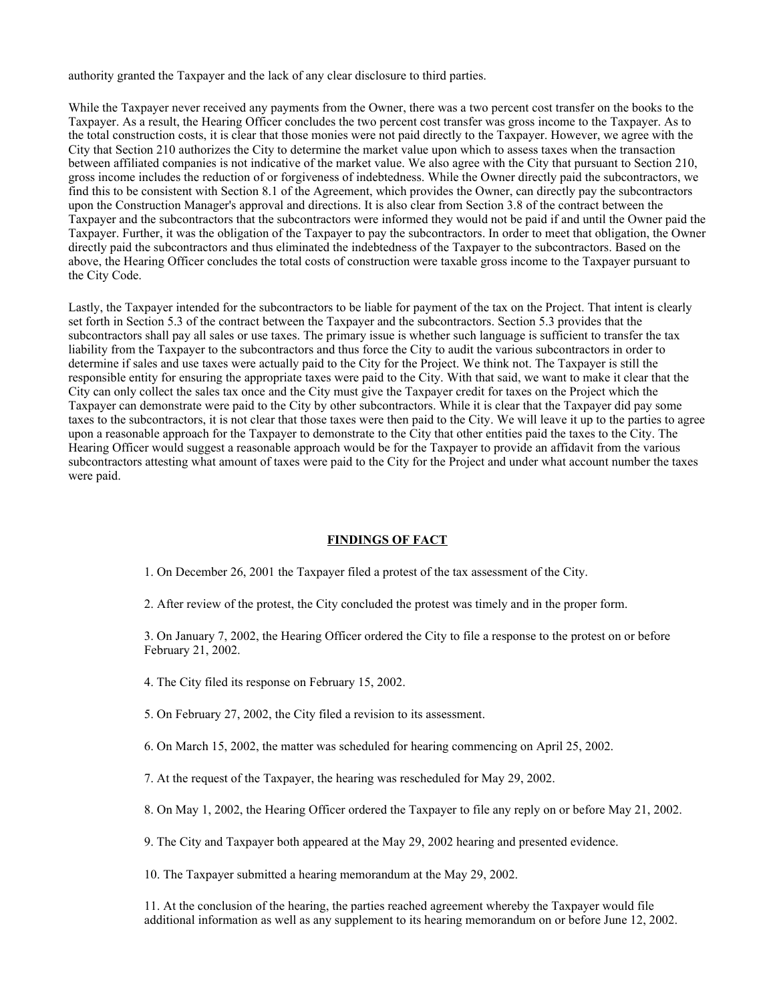authority granted the Taxpayer and the lack of any clear disclosure to third parties.

While the Taxpayer never received any payments from the Owner, there was a two percent cost transfer on the books to the Taxpayer. As a result, the Hearing Officer concludes the two percent cost transfer was gross income to the Taxpayer. As to the total construction costs, it is clear that those monies were not paid directly to the Taxpayer. However, we agree with the City that Section 210 authorizes the City to determine the market value upon which to assess taxes when the transaction between affiliated companies is not indicative of the market value. We also agree with the City that pursuant to Section 210, gross income includes the reduction of or forgiveness of indebtedness. While the Owner directly paid the subcontractors, we find this to be consistent with Section 8.1 of the Agreement, which provides the Owner, can directly pay the subcontractors upon the Construction Manager's approval and directions. It is also clear from Section 3.8 of the contract between the Taxpayer and the subcontractors that the subcontractors were informed they would not be paid if and until the Owner paid the Taxpayer. Further, it was the obligation of the Taxpayer to pay the subcontractors. In order to meet that obligation, the Owner directly paid the subcontractors and thus eliminated the indebtedness of the Taxpayer to the subcontractors. Based on the above, the Hearing Officer concludes the total costs of construction were taxable gross income to the Taxpayer pursuant to the City Code.

Lastly, the Taxpayer intended for the subcontractors to be liable for payment of the tax on the Project. That intent is clearly set forth in Section 5.3 of the contract between the Taxpayer and the subcontractors. Section 5.3 provides that the subcontractors shall pay all sales or use taxes. The primary issue is whether such language is sufficient to transfer the tax liability from the Taxpayer to the subcontractors and thus force the City to audit the various subcontractors in order to determine if sales and use taxes were actually paid to the City for the Project. We think not. The Taxpayer is still the responsible entity for ensuring the appropriate taxes were paid to the City. With that said, we want to make it clear that the City can only collect the sales tax once and the City must give the Taxpayer credit for taxes on the Project which the Taxpayer can demonstrate were paid to the City by other subcontractors. While it is clear that the Taxpayer did pay some taxes to the subcontractors, it is not clear that those taxes were then paid to the City. We will leave it up to the parties to agree upon a reasonable approach for the Taxpayer to demonstrate to the City that other entities paid the taxes to the City. The Hearing Officer would suggest a reasonable approach would be for the Taxpayer to provide an affidavit from the various subcontractors attesting what amount of taxes were paid to the City for the Project and under what account number the taxes were paid.

#### **FINDINGS OF FACT**

1. On December 26, 2001 the Taxpayer filed a protest of the tax assessment of the City.

2. After review of the protest, the City concluded the protest was timely and in the proper form.

3. On January 7, 2002, the Hearing Officer ordered the City to file a response to the protest on or before February 21, 2002.

4. The City filed its response on February 15, 2002.

5. On February 27, 2002, the City filed a revision to its assessment.

6. On March 15, 2002, the matter was scheduled for hearing commencing on April 25, 2002.

7. At the request of the Taxpayer, the hearing was rescheduled for May 29, 2002.

8. On May 1, 2002, the Hearing Officer ordered the Taxpayer to file any reply on or before May 21, 2002.

9. The City and Taxpayer both appeared at the May 29, 2002 hearing and presented evidence.

10. The Taxpayer submitted a hearing memorandum at the May 29, 2002.

11. At the conclusion of the hearing, the parties reached agreement whereby the Taxpayer would file additional information as well as any supplement to its hearing memorandum on or before June 12, 2002.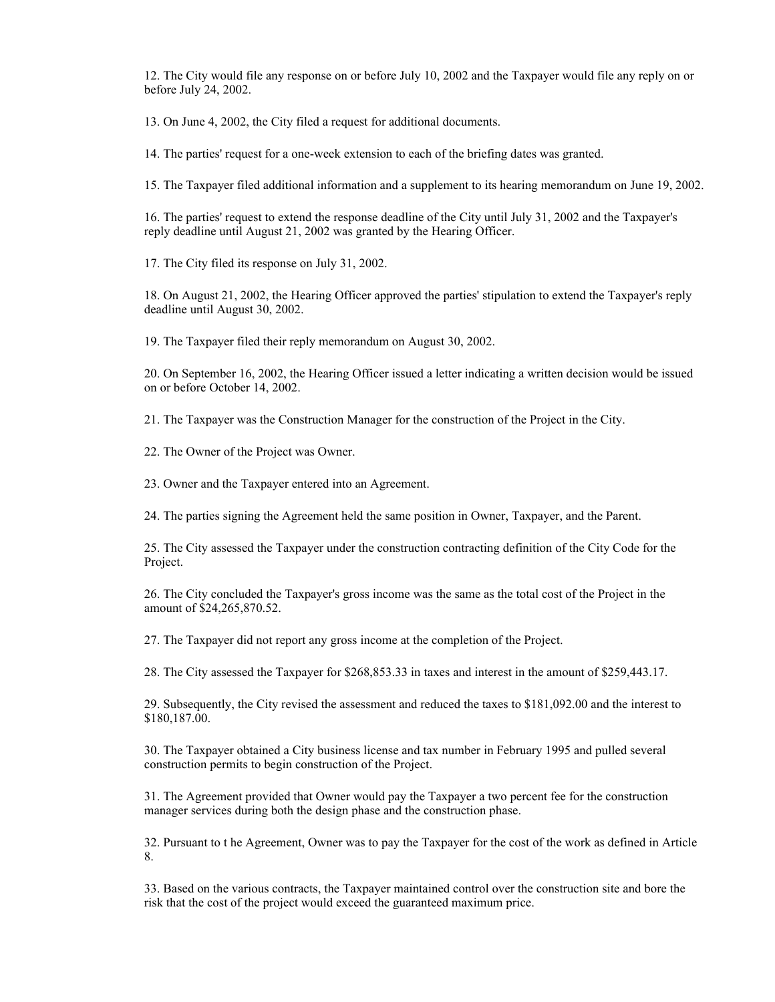12. The City would file any response on or before July 10, 2002 and the Taxpayer would file any reply on or before July 24, 2002.

13. On June 4, 2002, the City filed a request for additional documents.

14. The parties' request for a one-week extension to each of the briefing dates was granted.

15. The Taxpayer filed additional information and a supplement to its hearing memorandum on June 19, 2002.

16. The parties' request to extend the response deadline of the City until July 31, 2002 and the Taxpayer's reply deadline until August 21, 2002 was granted by the Hearing Officer.

17. The City filed its response on July 31, 2002.

18. On August 21, 2002, the Hearing Officer approved the parties' stipulation to extend the Taxpayer's reply deadline until August 30, 2002.

19. The Taxpayer filed their reply memorandum on August 30, 2002.

20. On September 16, 2002, the Hearing Officer issued a letter indicating a written decision would be issued on or before October 14, 2002.

21. The Taxpayer was the Construction Manager for the construction of the Project in the City.

22. The Owner of the Project was Owner.

23. Owner and the Taxpayer entered into an Agreement.

24. The parties signing the Agreement held the same position in Owner, Taxpayer, and the Parent.

25. The City assessed the Taxpayer under the construction contracting definition of the City Code for the Project.

26. The City concluded the Taxpayer's gross income was the same as the total cost of the Project in the amount of \$24,265,870.52.

27. The Taxpayer did not report any gross income at the completion of the Project.

28. The City assessed the Taxpayer for \$268,853.33 in taxes and interest in the amount of \$259,443.17.

29. Subsequently, the City revised the assessment and reduced the taxes to \$181,092.00 and the interest to \$180,187.00.

30. The Taxpayer obtained a City business license and tax number in February 1995 and pulled several construction permits to begin construction of the Project.

31. The Agreement provided that Owner would pay the Taxpayer a two percent fee for the construction manager services during both the design phase and the construction phase.

32. Pursuant to t he Agreement, Owner was to pay the Taxpayer for the cost of the work as defined in Article 8.

33. Based on the various contracts, the Taxpayer maintained control over the construction site and bore the risk that the cost of the project would exceed the guaranteed maximum price.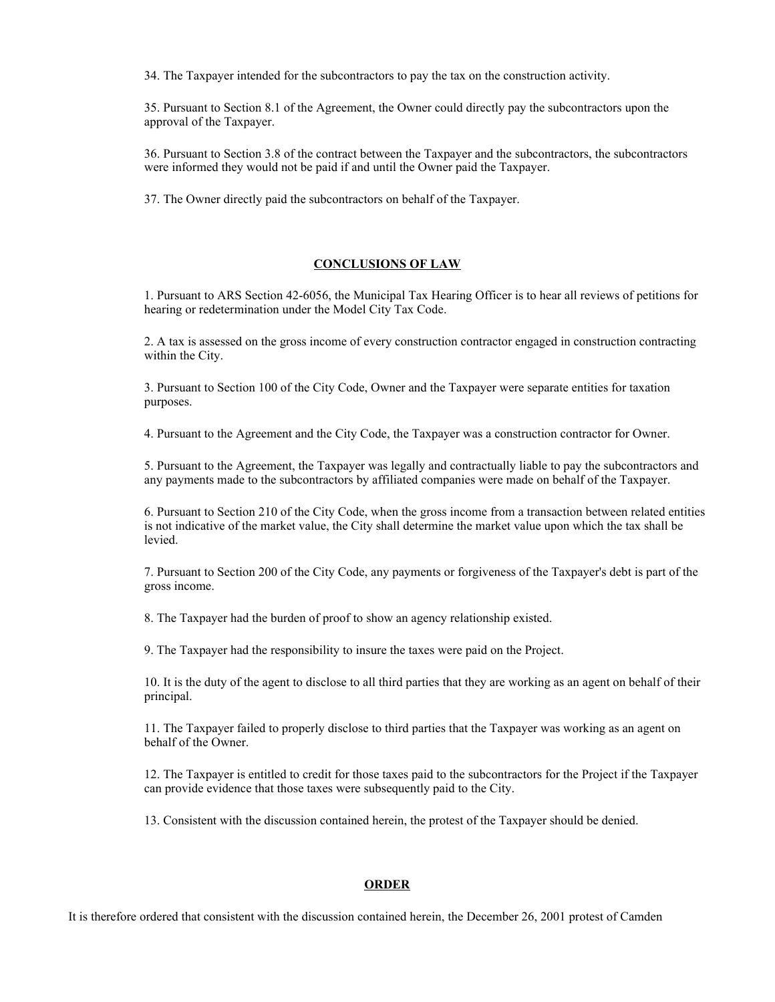34. The Taxpayer intended for the subcontractors to pay the tax on the construction activity.

35. Pursuant to Section 8.1 of the Agreement, the Owner could directly pay the subcontractors upon the approval of the Taxpayer.

36. Pursuant to Section 3.8 of the contract between the Taxpayer and the subcontractors, the subcontractors were informed they would not be paid if and until the Owner paid the Taxpayer.

37. The Owner directly paid the subcontractors on behalf of the Taxpayer.

## **CONCLUSIONS OF LAW**

1. Pursuant to ARS Section 42-6056, the Municipal Tax Hearing Officer is to hear all reviews of petitions for hearing or redetermination under the Model City Tax Code.

2. A tax is assessed on the gross income of every construction contractor engaged in construction contracting within the City.

3. Pursuant to Section 100 of the City Code, Owner and the Taxpayer were separate entities for taxation purposes.

4. Pursuant to the Agreement and the City Code, the Taxpayer was a construction contractor for Owner.

5. Pursuant to the Agreement, the Taxpayer was legally and contractually liable to pay the subcontractors and any payments made to the subcontractors by affiliated companies were made on behalf of the Taxpayer.

6. Pursuant to Section 210 of the City Code, when the gross income from a transaction between related entities is not indicative of the market value, the City shall determine the market value upon which the tax shall be levied.

7. Pursuant to Section 200 of the City Code, any payments or forgiveness of the Taxpayer's debt is part of the gross income.

8. The Taxpayer had the burden of proof to show an agency relationship existed.

9. The Taxpayer had the responsibility to insure the taxes were paid on the Project.

10. It is the duty of the agent to disclose to all third parties that they are working as an agent on behalf of their principal.

11. The Taxpayer failed to properly disclose to third parties that the Taxpayer was working as an agent on behalf of the Owner.

12. The Taxpayer is entitled to credit for those taxes paid to the subcontractors for the Project if the Taxpayer can provide evidence that those taxes were subsequently paid to the City.

13. Consistent with the discussion contained herein, the protest of the Taxpayer should be denied.

### **ORDER**

It is therefore ordered that consistent with the discussion contained herein, the December 26, 2001 protest of Camden